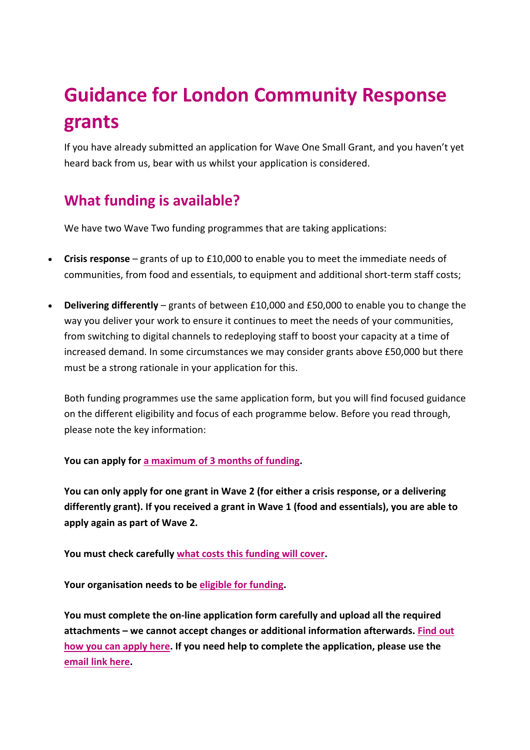# **Guidance for London Community Response grants**

If you have already submitted an application for Wave One Small Grant, and you haven't yet heard back from us, bear with us whilst your application is considered.

# **What funding is available?**

We have two Wave Two funding programmes that are taking applications:

- **Crisis response** grants of up to £10,000 to enable you to meet the immediate needs of communities, from food and essentials, to equipment and additional short-term staff costs;
- **Delivering differently** grants of between £10,000 and £50,000 to enable you to change the way you deliver your work to ensure it continues to meet the needs of your communities, from switching to digital channels to redeploying staff to boost your capacity at a time of increased demand. In some circumstances we may consider grants above £50,000 but there must be a strong rationale in your application for this.

Both funding programmes use the same application form, but you will find focused guidance on the different eligibility and focus of each programme below. Before you read through, please note the key information:

**You can apply for a maximum of 3 months of funding.**

**You can only apply for one grant in Wave 2 (for either a crisis response, or a delivering differently grant). If you received a grant in Wave 1 (food and essentials), you are able to apply again as part of Wave 2.**

**You must check carefully what costs this funding will cover.**

**Your organisation needs to be eligible for funding.**

**You must complete the on-line application form carefully and upload all the required attachments – we cannot accept changes or additional information afterwards. Find out how you can apply here. If you need help to complete the application, please use the email link here.**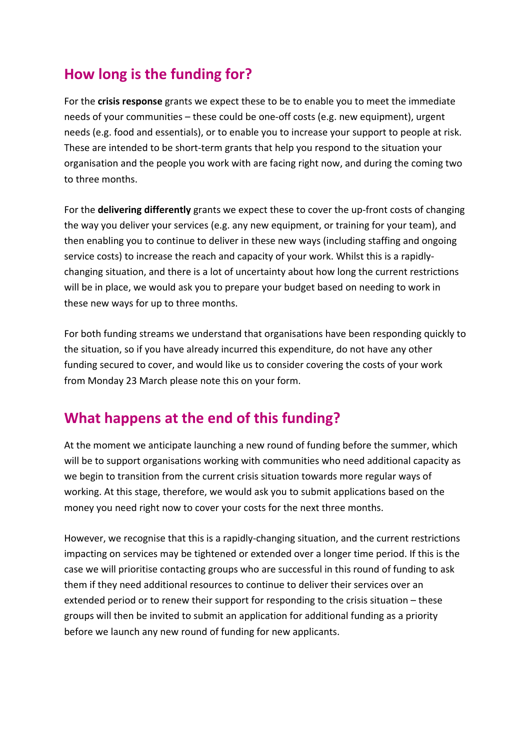### **How long is the funding for?**

For the **crisis response** grants we expect these to be to enable you to meet the immediate needs of your communities – these could be one-off costs (e.g. new equipment), urgent needs (e.g. food and essentials), or to enable you to increase your support to people at risk. These are intended to be short-term grants that help you respond to the situation your organisation and the people you work with are facing right now, and during the coming two to three months.

For the **delivering differently** grants we expect these to cover the up-front costs of changing the way you deliver your services (e.g. any new equipment, or training for your team), and then enabling you to continue to deliver in these new ways (including staffing and ongoing service costs) to increase the reach and capacity of your work. Whilst this is a rapidlychanging situation, and there is a lot of uncertainty about how long the current restrictions will be in place, we would ask you to prepare your budget based on needing to work in these new ways for up to three months.

For both funding streams we understand that organisations have been responding quickly to the situation, so if you have already incurred this expenditure, do not have any other funding secured to cover, and would like us to consider covering the costs of your work from Monday 23 March please note this on your form.

# **What happens at the end of this funding?**

At the moment we anticipate launching a new round of funding before the summer, which will be to support organisations working with communities who need additional capacity as we begin to transition from the current crisis situation towards more regular ways of working. At this stage, therefore, we would ask you to submit applications based on the money you need right now to cover your costs for the next three months.

However, we recognise that this is a rapidly-changing situation, and the current restrictions impacting on services may be tightened or extended over a longer time period. If this is the case we will prioritise contacting groups who are successful in this round of funding to ask them if they need additional resources to continue to deliver their services over an extended period or to renew their support for responding to the crisis situation – these groups will then be invited to submit an application for additional funding as a priority before we launch any new round of funding for new applicants.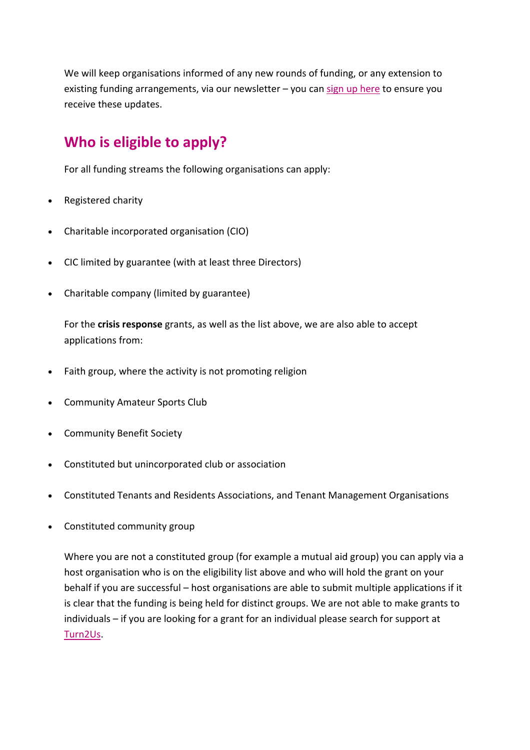We will keep organisations informed of any new rounds of funding, or any extension to existing funding arrangements, via our newsletter – you can sign up here to ensure you receive these updates.

### **Who is eligible to apply?**

For all funding streams the following organisations can apply:

- Registered charity
- Charitable incorporated organisation (CIO)
- CIC limited by guarantee (with at least three Directors)
- Charitable company (limited by guarantee)

For the **crisis response** grants, as well as the list above, we are also able to accept applications from:

- Faith group, where the activity is not promoting religion
- Community Amateur Sports Club
- Community Benefit Society
- Constituted but unincorporated club or association
- Constituted Tenants and Residents Associations, and Tenant Management Organisations
- Constituted community group

Where you are not a constituted group (for example a mutual aid group) you can apply via a host organisation who is on the eligibility list above and who will hold the grant on your behalf if you are successful – host organisations are able to submit multiple applications if it is clear that the funding is being held for distinct groups. We are not able to make grants to individuals – if you are looking for a grant for an individual please search for support at Turn2Us.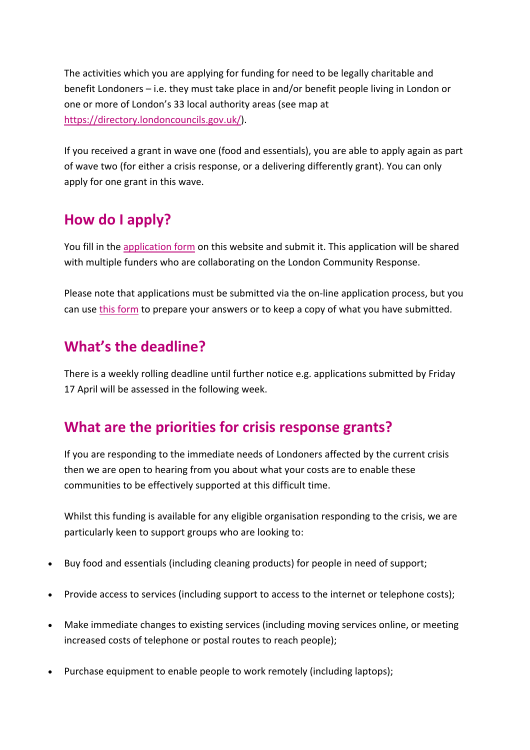The activities which you are applying for funding for need to be legally charitable and benefit Londoners – i.e. they must take place in and/or benefit people living in London or one or more of London's 33 local authority areas (see map at https://directory.londoncouncils.gov.uk/).

If you received a grant in wave one (food and essentials), you are able to apply again as part of wave two (for either a crisis response, or a delivering differently grant). You can only apply for one grant in this wave.

# **How do I apply?**

You fill in the application form on this website and submit it. This application will be shared with multiple funders who are collaborating on the London Community Response.

Please note that applications must be submitted via the on-line application process, but you can use this form to prepare your answers or to keep a copy of what you have submitted.

### **What's the deadline?**

There is a weekly rolling deadline until further notice e.g. applications submitted by Friday 17 April will be assessed in the following week.

# **What are the priorities for crisis response grants?**

If you are responding to the immediate needs of Londoners affected by the current crisis then we are open to hearing from you about what your costs are to enable these communities to be effectively supported at this difficult time.

Whilst this funding is available for any eligible organisation responding to the crisis, we are particularly keen to support groups who are looking to:

- Buy food and essentials (including cleaning products) for people in need of support;
- Provide access to services (including support to access to the internet or telephone costs);
- Make immediate changes to existing services (including moving services online, or meeting increased costs of telephone or postal routes to reach people);
- Purchase equipment to enable people to work remotely (including laptops);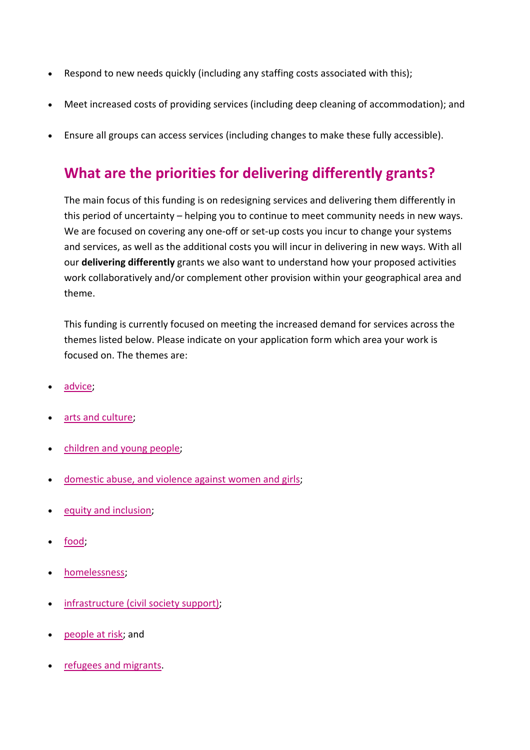- Respond to new needs quickly (including any staffing costs associated with this);
- Meet increased costs of providing services (including deep cleaning of accommodation); and
- Ensure all groups can access services (including changes to make these fully accessible).

### **What are the priorities for delivering differently grants?**

The main focus of this funding is on redesigning services and delivering them differently in this period of uncertainty – helping you to continue to meet community needs in new ways. We are focused on covering any one-off or set-up costs you incur to change your systems and services, as well as the additional costs you will incur in delivering in new ways. With all our **delivering differently** grants we also want to understand how your proposed activities work collaboratively and/or complement other provision within your geographical area and theme.

This funding is currently focused on meeting the increased demand for services across the themes listed below. Please indicate on your application form which area your work is focused on. The themes are:

- advice;
- arts and culture;
- children and young people;
- domestic abuse, and violence against women and girls;
- equity and inclusion;
- food;
- homelessness;
- infrastructure (civil society support);
- people at risk; and
- refugees and migrants.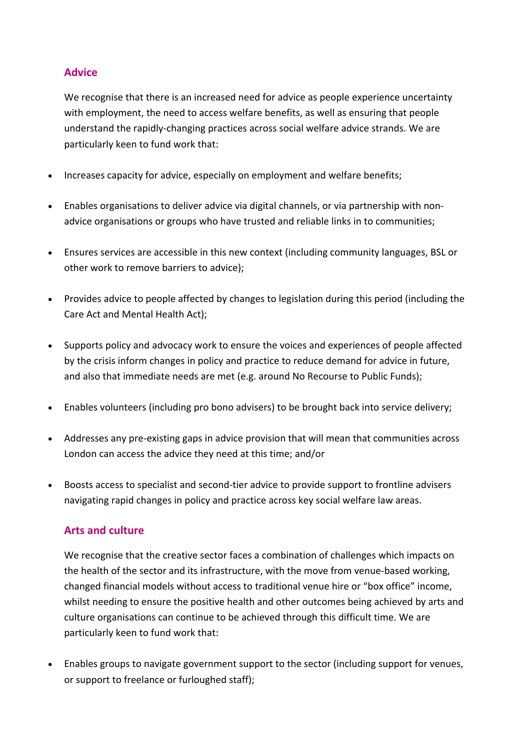#### **Advice**

We recognise that there is an increased need for advice as people experience uncertainty with employment, the need to access welfare benefits, as well as ensuring that people understand the rapidly-changing practices across social welfare advice strands. We are particularly keen to fund work that:

- Increases capacity for advice, especially on employment and welfare benefits;
- Enables organisations to deliver advice via digital channels, or via partnership with nonadvice organisations or groups who have trusted and reliable links in to communities;
- Ensures services are accessible in this new context (including community languages, BSL or other work to remove barriers to advice);
- Provides advice to people affected by changes to legislation during this period (including the Care Act and Mental Health Act);
- Supports policy and advocacy work to ensure the voices and experiences of people affected by the crisis inform changes in policy and practice to reduce demand for advice in future, and also that immediate needs are met (e.g. around No Recourse to Public Funds);
- Enables volunteers (including pro bono advisers) to be brought back into service delivery;
- Addresses any pre-existing gaps in advice provision that will mean that communities across London can access the advice they need at this time; and/or
- Boosts access to specialist and second-tier advice to provide support to frontline advisers navigating rapid changes in policy and practice across key social welfare law areas.

#### **Arts and culture**

We recognise that the creative sector faces a combination of challenges which impacts on the health of the sector and its infrastructure, with the move from venue-based working, changed financial models without access to traditional venue hire or "box office" income, whilst needing to ensure the positive health and other outcomes being achieved by arts and culture organisations can continue to be achieved through this difficult time. We are particularly keen to fund work that:

• Enables groups to navigate government support to the sector (including support for venues, or support to freelance or furloughed staff);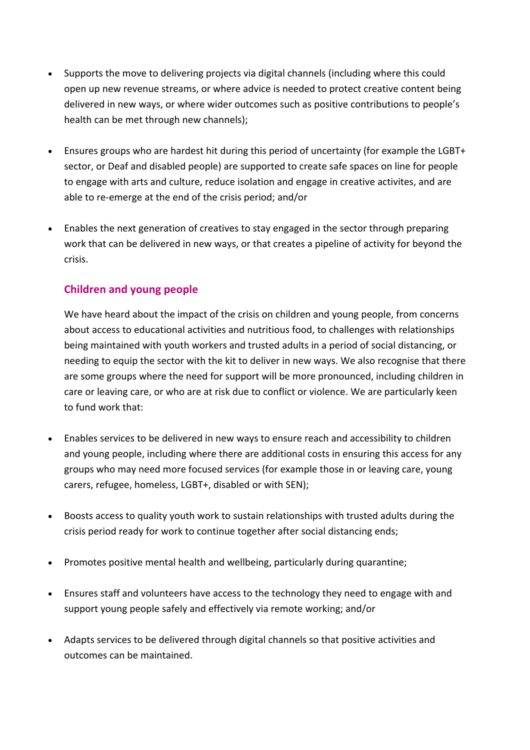- Supports the move to delivering projects via digital channels (including where this could open up new revenue streams, or where advice is needed to protect creative content being delivered in new ways, or where wider outcomes such as positive contributions to people's health can be met through new channels);
- Ensures groups who are hardest hit during this period of uncertainty (for example the LGBT+ sector, or Deaf and disabled people) are supported to create safe spaces on line for people to engage with arts and culture, reduce isolation and engage in creative activites, and are able to re-emerge at the end of the crisis period; and/or
- Enables the next generation of creatives to stay engaged in the sector through preparing work that can be delivered in new ways, or that creates a pipeline of activity for beyond the crisis.

### **Children and young people**

We have heard about the impact of the crisis on children and young people, from concerns about access to educational activities and nutritious food, to challenges with relationships being maintained with youth workers and trusted adults in a period of social distancing, or needing to equip the sector with the kit to deliver in new ways. We also recognise that there are some groups where the need for support will be more pronounced, including children in care or leaving care, or who are at risk due to conflict or violence. We are particularly keen to fund work that:

- Enables services to be delivered in new ways to ensure reach and accessibility to children and young people, including where there are additional costs in ensuring this access for any groups who may need more focused services (for example those in or leaving care, young carers, refugee, homeless, LGBT+, disabled or with SEN);
- Boosts access to quality youth work to sustain relationships with trusted adults during the crisis period ready for work to continue together after social distancing ends;
- Promotes positive mental health and wellbeing, particularly during quarantine;
- Ensures staff and volunteers have access to the technology they need to engage with and support young people safely and effectively via remote working; and/or
- Adapts services to be delivered through digital channels so that positive activities and outcomes can be maintained.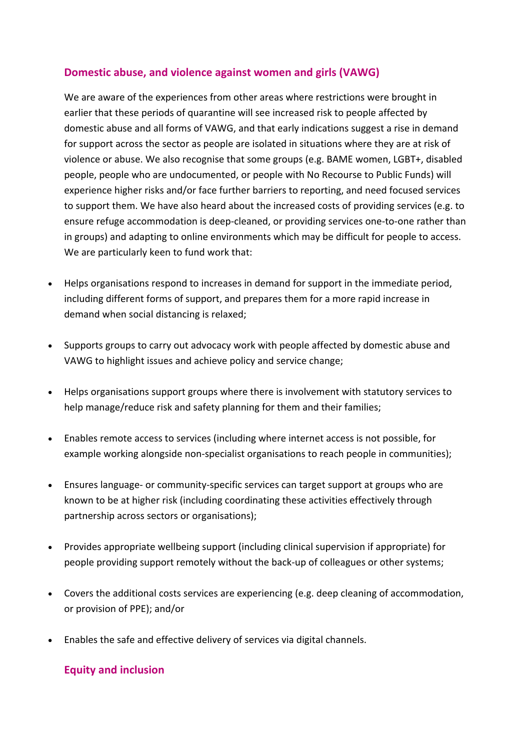#### **Domestic abuse, and violence against women and girls (VAWG)**

We are aware of the experiences from other areas where restrictions were brought in earlier that these periods of quarantine will see increased risk to people affected by domestic abuse and all forms of VAWG, and that early indications suggest a rise in demand for support across the sector as people are isolated in situations where they are at risk of violence or abuse. We also recognise that some groups (e.g. BAME women, LGBT+, disabled people, people who are undocumented, or people with No Recourse to Public Funds) will experience higher risks and/or face further barriers to reporting, and need focused services to support them. We have also heard about the increased costs of providing services (e.g. to ensure refuge accommodation is deep-cleaned, or providing services one-to-one rather than in groups) and adapting to online environments which may be difficult for people to access. We are particularly keen to fund work that:

- Helps organisations respond to increases in demand for support in the immediate period, including different forms of support, and prepares them for a more rapid increase in demand when social distancing is relaxed;
- Supports groups to carry out advocacy work with people affected by domestic abuse and VAWG to highlight issues and achieve policy and service change;
- Helps organisations support groups where there is involvement with statutory services to help manage/reduce risk and safety planning for them and their families;
- Enables remote access to services (including where internet access is not possible, for example working alongside non-specialist organisations to reach people in communities);
- Ensures language- or community-specific services can target support at groups who are known to be at higher risk (including coordinating these activities effectively through partnership across sectors or organisations);
- Provides appropriate wellbeing support (including clinical supervision if appropriate) for people providing support remotely without the back-up of colleagues or other systems;
- Covers the additional costs services are experiencing (e.g. deep cleaning of accommodation, or provision of PPE); and/or
- Enables the safe and effective delivery of services via digital channels.

#### **Equity and inclusion**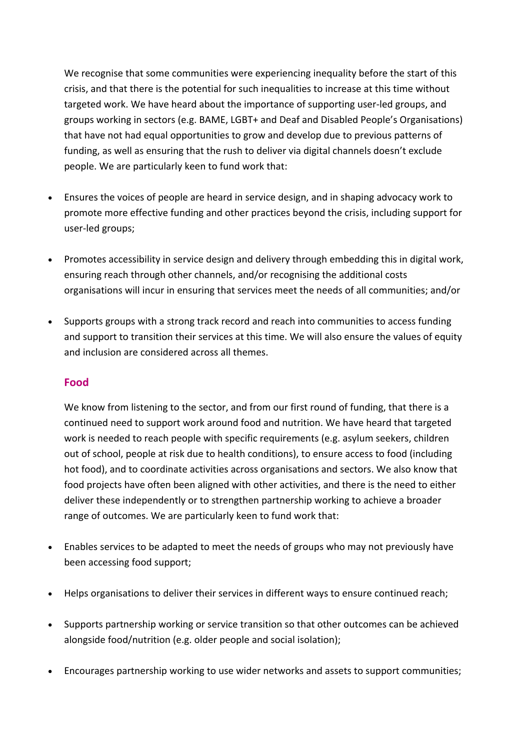We recognise that some communities were experiencing inequality before the start of this crisis, and that there is the potential for such inequalities to increase at this time without targeted work. We have heard about the importance of supporting user-led groups, and groups working in sectors (e.g. BAME, LGBT+ and Deaf and Disabled People's Organisations) that have not had equal opportunities to grow and develop due to previous patterns of funding, as well as ensuring that the rush to deliver via digital channels doesn't exclude people. We are particularly keen to fund work that:

- Ensures the voices of people are heard in service design, and in shaping advocacy work to promote more effective funding and other practices beyond the crisis, including support for user-led groups;
- Promotes accessibility in service design and delivery through embedding this in digital work, ensuring reach through other channels, and/or recognising the additional costs organisations will incur in ensuring that services meet the needs of all communities; and/or
- Supports groups with a strong track record and reach into communities to access funding and support to transition their services at this time. We will also ensure the values of equity and inclusion are considered across all themes.

#### **Food**

We know from listening to the sector, and from our first round of funding, that there is a continued need to support work around food and nutrition. We have heard that targeted work is needed to reach people with specific requirements (e.g. asylum seekers, children out of school, people at risk due to health conditions), to ensure access to food (including hot food), and to coordinate activities across organisations and sectors. We also know that food projects have often been aligned with other activities, and there is the need to either deliver these independently or to strengthen partnership working to achieve a broader range of outcomes. We are particularly keen to fund work that:

- Enables services to be adapted to meet the needs of groups who may not previously have been accessing food support;
- Helps organisations to deliver their services in different ways to ensure continued reach;
- Supports partnership working or service transition so that other outcomes can be achieved alongside food/nutrition (e.g. older people and social isolation);
- Encourages partnership working to use wider networks and assets to support communities;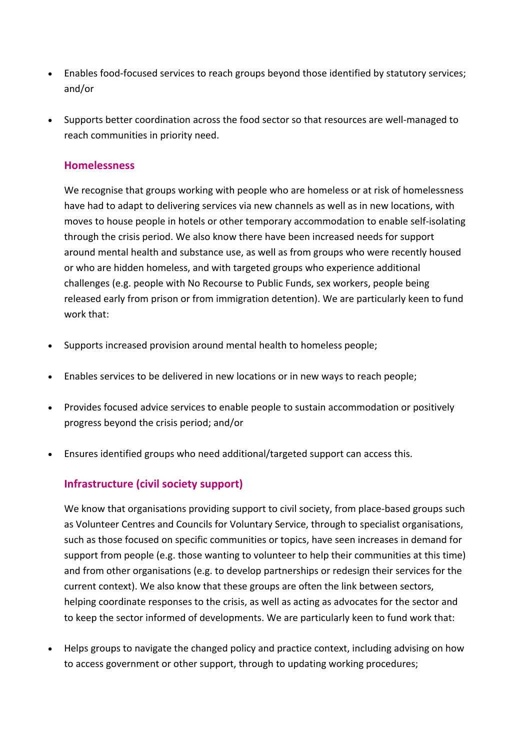- Enables food-focused services to reach groups beyond those identified by statutory services; and/or
- Supports better coordination across the food sector so that resources are well-managed to reach communities in priority need.

#### **Homelessness**

We recognise that groups working with people who are homeless or at risk of homelessness have had to adapt to delivering services via new channels as well as in new locations, with moves to house people in hotels or other temporary accommodation to enable self-isolating through the crisis period. We also know there have been increased needs for support around mental health and substance use, as well as from groups who were recently housed or who are hidden homeless, and with targeted groups who experience additional challenges (e.g. people with No Recourse to Public Funds, sex workers, people being released early from prison or from immigration detention). We are particularly keen to fund work that:

- Supports increased provision around mental health to homeless people;
- Enables services to be delivered in new locations or in new ways to reach people;
- Provides focused advice services to enable people to sustain accommodation or positively progress beyond the crisis period; and/or
- Ensures identified groups who need additional/targeted support can access this.

### **Infrastructure (civil society support)**

We know that organisations providing support to civil society, from place-based groups such as Volunteer Centres and Councils for Voluntary Service, through to specialist organisations, such as those focused on specific communities or topics, have seen increases in demand for support from people (e.g. those wanting to volunteer to help their communities at this time) and from other organisations (e.g. to develop partnerships or redesign their services for the current context). We also know that these groups are often the link between sectors, helping coordinate responses to the crisis, as well as acting as advocates for the sector and to keep the sector informed of developments. We are particularly keen to fund work that:

• Helps groups to navigate the changed policy and practice context, including advising on how to access government or other support, through to updating working procedures;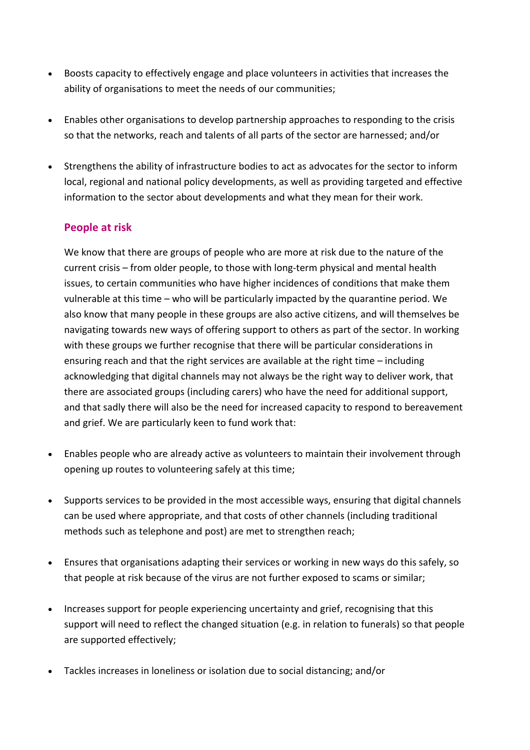- Boosts capacity to effectively engage and place volunteers in activities that increases the ability of organisations to meet the needs of our communities;
- Enables other organisations to develop partnership approaches to responding to the crisis so that the networks, reach and talents of all parts of the sector are harnessed; and/or
- Strengthens the ability of infrastructure bodies to act as advocates for the sector to inform local, regional and national policy developments, as well as providing targeted and effective information to the sector about developments and what they mean for their work.

### **People at risk**

We know that there are groups of people who are more at risk due to the nature of the current crisis – from older people, to those with long-term physical and mental health issues, to certain communities who have higher incidences of conditions that make them vulnerable at this time – who will be particularly impacted by the quarantine period. We also know that many people in these groups are also active citizens, and will themselves be navigating towards new ways of offering support to others as part of the sector. In working with these groups we further recognise that there will be particular considerations in ensuring reach and that the right services are available at the right time – including acknowledging that digital channels may not always be the right way to deliver work, that there are associated groups (including carers) who have the need for additional support, and that sadly there will also be the need for increased capacity to respond to bereavement and grief. We are particularly keen to fund work that:

- Enables people who are already active as volunteers to maintain their involvement through opening up routes to volunteering safely at this time;
- Supports services to be provided in the most accessible ways, ensuring that digital channels can be used where appropriate, and that costs of other channels (including traditional methods such as telephone and post) are met to strengthen reach;
- Ensures that organisations adapting their services or working in new ways do this safely, so that people at risk because of the virus are not further exposed to scams or similar;
- Increases support for people experiencing uncertainty and grief, recognising that this support will need to reflect the changed situation (e.g. in relation to funerals) so that people are supported effectively;
- Tackles increases in loneliness or isolation due to social distancing; and/or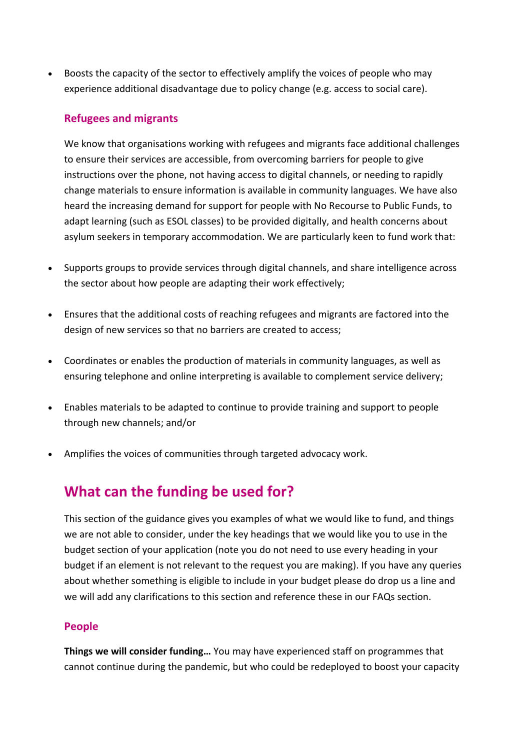• Boosts the capacity of the sector to effectively amplify the voices of people who may experience additional disadvantage due to policy change (e.g. access to social care).

#### **Refugees and migrants**

We know that organisations working with refugees and migrants face additional challenges to ensure their services are accessible, from overcoming barriers for people to give instructions over the phone, not having access to digital channels, or needing to rapidly change materials to ensure information is available in community languages. We have also heard the increasing demand for support for people with No Recourse to Public Funds, to adapt learning (such as ESOL classes) to be provided digitally, and health concerns about asylum seekers in temporary accommodation. We are particularly keen to fund work that:

- Supports groups to provide services through digital channels, and share intelligence across the sector about how people are adapting their work effectively;
- Ensures that the additional costs of reaching refugees and migrants are factored into the design of new services so that no barriers are created to access;
- Coordinates or enables the production of materials in community languages, as well as ensuring telephone and online interpreting is available to complement service delivery;
- Enables materials to be adapted to continue to provide training and support to people through new channels; and/or
- Amplifies the voices of communities through targeted advocacy work.

### **What can the funding be used for?**

This section of the guidance gives you examples of what we would like to fund, and things we are not able to consider, under the key headings that we would like you to use in the budget section of your application (note you do not need to use every heading in your budget if an element is not relevant to the request you are making). If you have any queries about whether something is eligible to include in your budget please do drop us a line and we will add any clarifications to this section and reference these in our FAQs section.

#### **People**

**Things we will consider funding…** You may have experienced staff on programmes that cannot continue during the pandemic, but who could be redeployed to boost your capacity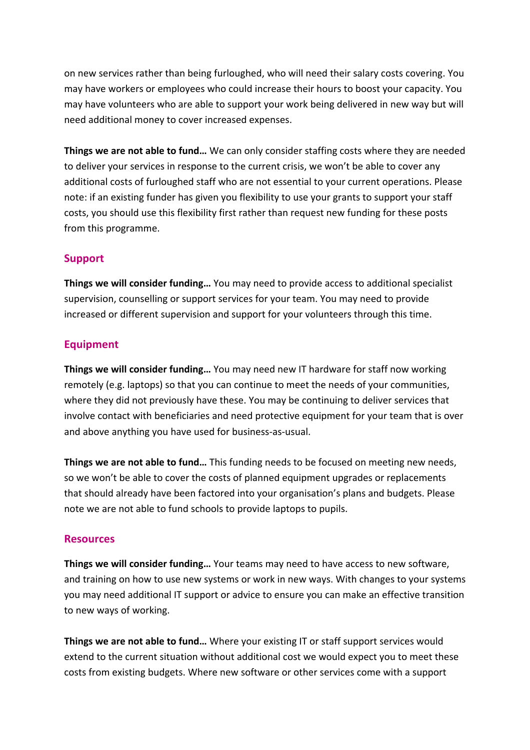on new services rather than being furloughed, who will need their salary costs covering. You may have workers or employees who could increase their hours to boost your capacity. You may have volunteers who are able to support your work being delivered in new way but will need additional money to cover increased expenses.

**Things we are not able to fund…** We can only consider staffing costs where they are needed to deliver your services in response to the current crisis, we won't be able to cover any additional costs of furloughed staff who are not essential to your current operations. Please note: if an existing funder has given you flexibility to use your grants to support your staff costs, you should use this flexibility first rather than request new funding for these posts from this programme.

#### **Support**

**Things we will consider funding…** You may need to provide access to additional specialist supervision, counselling or support services for your team. You may need to provide increased or different supervision and support for your volunteers through this time.

#### **Equipment**

**Things we will consider funding…** You may need new IT hardware for staff now working remotely (e.g. laptops) so that you can continue to meet the needs of your communities, where they did not previously have these. You may be continuing to deliver services that involve contact with beneficiaries and need protective equipment for your team that is over and above anything you have used for business-as-usual.

**Things we are not able to fund…** This funding needs to be focused on meeting new needs, so we won't be able to cover the costs of planned equipment upgrades or replacements that should already have been factored into your organisation's plans and budgets. Please note we are not able to fund schools to provide laptops to pupils.

#### **Resources**

**Things we will consider funding…** Your teams may need to have access to new software, and training on how to use new systems or work in new ways. With changes to your systems you may need additional IT support or advice to ensure you can make an effective transition to new ways of working.

**Things we are not able to fund…** Where your existing IT or staff support services would extend to the current situation without additional cost we would expect you to meet these costs from existing budgets. Where new software or other services come with a support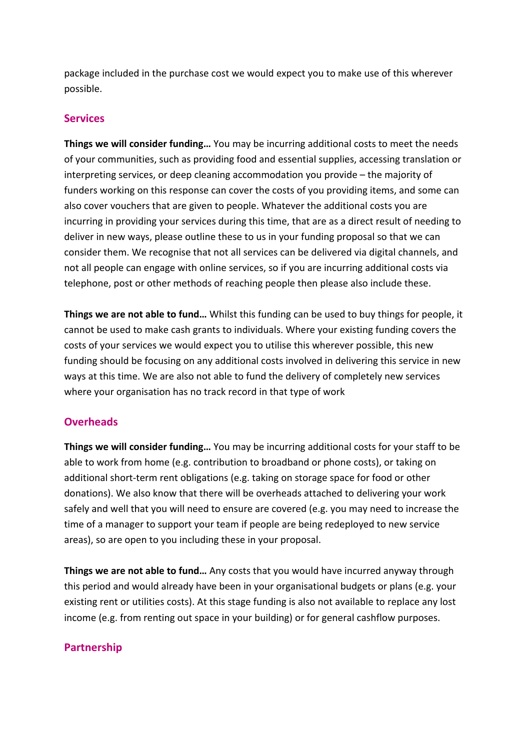package included in the purchase cost we would expect you to make use of this wherever possible.

#### **Services**

**Things we will consider funding…** You may be incurring additional costs to meet the needs of your communities, such as providing food and essential supplies, accessing translation or interpreting services, or deep cleaning accommodation you provide – the majority of funders working on this response can cover the costs of you providing items, and some can also cover vouchers that are given to people. Whatever the additional costs you are incurring in providing your services during this time, that are as a direct result of needing to deliver in new ways, please outline these to us in your funding proposal so that we can consider them. We recognise that not all services can be delivered via digital channels, and not all people can engage with online services, so if you are incurring additional costs via telephone, post or other methods of reaching people then please also include these.

**Things we are not able to fund…** Whilst this funding can be used to buy things for people, it cannot be used to make cash grants to individuals. Where your existing funding covers the costs of your services we would expect you to utilise this wherever possible, this new funding should be focusing on any additional costs involved in delivering this service in new ways at this time. We are also not able to fund the delivery of completely new services where your organisation has no track record in that type of work

#### **Overheads**

**Things we will consider funding…** You may be incurring additional costs for your staff to be able to work from home (e.g. contribution to broadband or phone costs), or taking on additional short-term rent obligations (e.g. taking on storage space for food or other donations). We also know that there will be overheads attached to delivering your work safely and well that you will need to ensure are covered (e.g. you may need to increase the time of a manager to support your team if people are being redeployed to new service areas), so are open to you including these in your proposal.

**Things we are not able to fund…** Any costs that you would have incurred anyway through this period and would already have been in your organisational budgets or plans (e.g. your existing rent or utilities costs). At this stage funding is also not available to replace any lost income (e.g. from renting out space in your building) or for general cashflow purposes.

### **Partnership**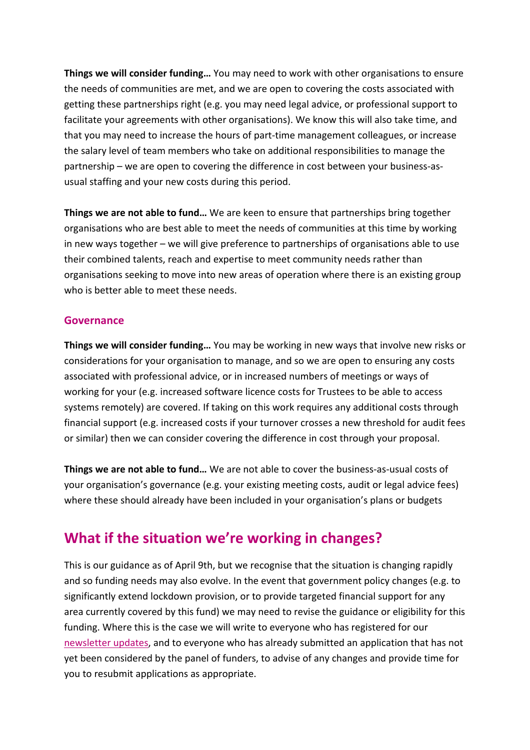**Things we will consider funding…** You may need to work with other organisations to ensure the needs of communities are met, and we are open to covering the costs associated with getting these partnerships right (e.g. you may need legal advice, or professional support to facilitate your agreements with other organisations). We know this will also take time, and that you may need to increase the hours of part-time management colleagues, or increase the salary level of team members who take on additional responsibilities to manage the partnership – we are open to covering the difference in cost between your business-asusual staffing and your new costs during this period.

**Things we are not able to fund…** We are keen to ensure that partnerships bring together organisations who are best able to meet the needs of communities at this time by working in new ways together – we will give preference to partnerships of organisations able to use their combined talents, reach and expertise to meet community needs rather than organisations seeking to move into new areas of operation where there is an existing group who is better able to meet these needs.

#### **Governance**

**Things we will consider funding…** You may be working in new ways that involve new risks or considerations for your organisation to manage, and so we are open to ensuring any costs associated with professional advice, or in increased numbers of meetings or ways of working for your (e.g. increased software licence costs for Trustees to be able to access systems remotely) are covered. If taking on this work requires any additional costs through financial support (e.g. increased costs if your turnover crosses a new threshold for audit fees or similar) then we can consider covering the difference in cost through your proposal.

**Things we are not able to fund…** We are not able to cover the business-as-usual costs of your organisation's governance (e.g. your existing meeting costs, audit or legal advice fees) where these should already have been included in your organisation's plans or budgets

### **What if the situation we're working in changes?**

This is our guidance as of April 9th, but we recognise that the situation is changing rapidly and so funding needs may also evolve. In the event that government policy changes (e.g. to significantly extend lockdown provision, or to provide targeted financial support for any area currently covered by this fund) we may need to revise the guidance or eligibility for this funding. Where this is the case we will write to everyone who has registered for our newsletter updates, and to everyone who has already submitted an application that has not yet been considered by the panel of funders, to advise of any changes and provide time for you to resubmit applications as appropriate.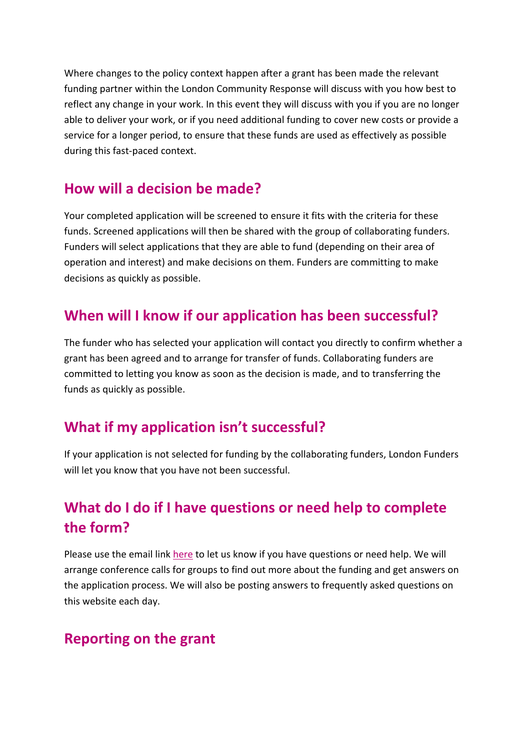Where changes to the policy context happen after a grant has been made the relevant funding partner within the London Community Response will discuss with you how best to reflect any change in your work. In this event they will discuss with you if you are no longer able to deliver your work, or if you need additional funding to cover new costs or provide a service for a longer period, to ensure that these funds are used as effectively as possible during this fast-paced context.

### **How will a decision be made?**

Your completed application will be screened to ensure it fits with the criteria for these funds. Screened applications will then be shared with the group of collaborating funders. Funders will select applications that they are able to fund (depending on their area of operation and interest) and make decisions on them. Funders are committing to make decisions as quickly as possible.

### **When will I know if our application has been successful?**

The funder who has selected your application will contact you directly to confirm whether a grant has been agreed and to arrange for transfer of funds. Collaborating funders are committed to letting you know as soon as the decision is made, and to transferring the funds as quickly as possible.

### **What if my application isn't successful?**

If your application is not selected for funding by the collaborating funders, London Funders will let you know that you have not been successful.

# **What do I do if I have questions or need help to complete the form?**

Please use the email link here to let us know if you have questions or need help. We will arrange conference calls for groups to find out more about the funding and get answers on the application process. We will also be posting answers to frequently asked questions on this website each day.

### **Reporting on the grant**